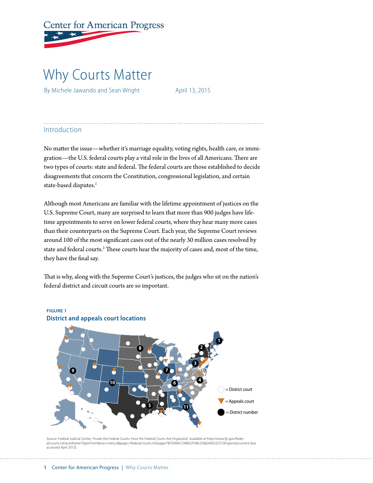# **Center for American Progress**

# Why Courts Matter

By Michele Jawando and Sean Wright April 13, 2015

# Introduction

No matter the issue—whether it's marriage equality, voting rights, health care, or immigration—the U.S. federal courts play a vital role in the lives of all Americans. There are two types of courts: state and federal. The federal courts are those established to decide disagreements that concern the Constitution, congressional legislation, and certain state-based disputes.<sup>1</sup>

Although most Americans are familiar with the lifetime appointment of justices on the U.S. Supreme Court, many are surprised to learn that more than 900 judges have lifetime appointments to serve on lower federal courts, where they hear many more cases than their counterparts on the Supreme Court. Each year, the Supreme Court reviews around 100 of the most significant cases out of the nearly 30 million cases resolved by state and federal courts.<sup>2</sup> These courts hear the majority of cases and, most of the time, they have the final say.

That is why, along with the Supreme Court's justices, the judges who sit on the nation's federal district and circuit courts are so important.



## **FIGURE 1 District and appeals court locations**

Source: Federal Judicial Center, "Inside the Federal Courts: How the Federal Courts Are Organized," available at http://www.fjc.gov/feder al/courts.nsf/autoframe?OpenForm&nav=menu3&page=/federal/courts.nsf/page/7B7E9A81C09BA2FA852568240052CFC8?opendocument (last accessed April 2015).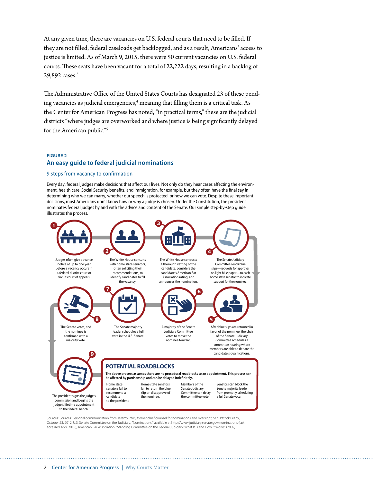At any given time, there are vacancies on U.S. federal courts that need to be filled. If they are not filled, federal caseloads get backlogged, and as a result, Americans' access to justice is limited. As of March 9, 2015, there were 50 current vacancies on U.S. federal courts. These seats have been vacant for a total of 22,222 days, resulting in a backlog of 29,892 cases.<sup>3</sup>

The Administrative Office of the United States Courts has designated 23 of these pending vacancies as judicial emergencies, $^4$  meaning that filling them is a critical task. As the Center for American Progress has noted, "in practical terms," these are the judicial districts "where judges are overworked and where justice is being significantly delayed for the American public."5

#### **FIGURE 2 An easy guide to federal judicial nominations**

#### 9 steps from vacancy to confirmation

Every day, federal judges make decisions that affect our lives. Not only do they hear cases affecting the environment, health care, Social Security benefits, and immigration, for example, but they often have the final say in determining who we can marry, whether our speech is protected, or how we can vote. Despite these important decisions, most Americans don't know how or why a judge is chosen. Under the Constitution, the president nominates federal judges by and with the advice and consent of the Senate. Our simple step-by-step guide illustrates the process.



Sources: Sources: Personal communication from Jeremy Paris, former chief counsel for nominations and oversight, Sen. Patrick Leahy, October 23, 2012; U.S. Senate Committee on the Judiciary, "Nominations," available at http://www.judiciary.senate.gov/nominations (last<br>accessed April 2015); American Bar Association, "Standing Committee on the Federal Jud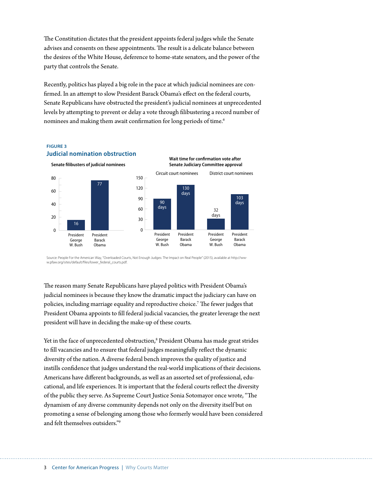The Constitution dictates that the president appoints federal judges while the Senate advises and consents on these appointments. The result is a delicate balance between the desires of the White House, deference to home-state senators, and the power of the party that controls the Senate.

Recently, politics has played a big role in the pace at which judicial nominees are confirmed. In an attempt to slow President Barack Obama's effect on the federal courts, Senate Republicans have obstructed the president's judicial nominees at unprecedented levels by attempting to prevent or delay a vote through filibustering a record number of nominees and making them await confirmation for long periods of time.6



**Judicial nomination obstruction**

**FIGURE 3**

Source: People For the American Way, "Overloaded Courts, Not Enough Judges: The Impact on Real People" (2015), available at http://www.pfaw.org/sites/default/files/lower\_federal\_courts.pdf.

The reason many Senate Republicans have played politics with President Obama's judicial nominees is because they know the dramatic impact the judiciary can have on policies, including marriage equality and reproductive choice.7 The fewer judges that President Obama appoints to fill federal judicial vacancies, the greater leverage the next president will have in deciding the make-up of these courts.

Yet in the face of unprecedented obstruction,<sup>8</sup> President Obama has made great strides to fill vacancies and to ensure that federal judges meaningfully reflect the dynamic diversity of the nation. A diverse federal bench improves the quality of justice and instills confidence that judges understand the real-world implications of their decisions. Americans have different backgrounds, as well as an assorted set of professional, educational, and life experiences. It is important that the federal courts reflect the diversity of the public they serve. As Supreme Court Justice Sonia Sotomayor once wrote, "The dynamism of any diverse community depends not only on the diversity itself but on promoting a sense of belonging among those who formerly would have been considered and felt themselves outsiders."9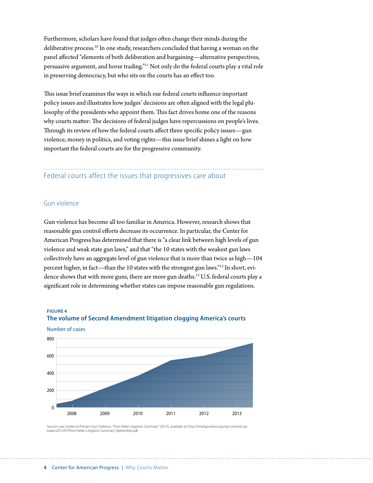Furthermore, scholars have found that judges often change their minds during the deliberative process.10 In one study, researchers concluded that having a woman on the panel affected "elements of both deliberation and bargaining—alternative perspectives, persuasive argument, and horse trading."11 Not only do the federal courts play a vital role in preserving democracy, but who sits on the courts has an effect too.

This issue brief examines the ways in which our federal courts influence important policy issues and illustrates how judges' decisions are often aligned with the legal philosophy of the presidents who appoint them. This fact drives home one of the reasons why courts matter: The decisions of federal judges have repercussions on people's lives. Through its review of how the federal courts affect three specific policy issues—gun violence, money in politics, and voting rights—this issue brief shines a light on how important the federal courts are for the progressive community.

# Federal courts affect the issues that progressives care about

### Gun violence

Gun violence has become all too familiar in America. However, research shows that reasonable gun control efforts decrease its occurrence. In particular, the Center for American Progress has determined that there is "a clear link between high levels of gun violence and weak state gun laws," and that "the 10 states with the weakest gun laws collectively have an aggregate level of gun violence that is more than twice as high—104 percent higher, in fact—than the 10 states with the strongest gun laws."12 In short, evidence shows that with more guns, there are more gun deaths.<sup>13</sup> U.S. federal courts play a significant role in determining whether states can impose reasonable gun regulations.

#### **FIGURE 4**

Number of cases



# **The volume of Second Amendment litigation clogging America's courts**

Source: Law Center to Prevent Gun Violence, "Post-*Heller* Litigation Summary" (2013), available at http://smartgunlaws.org/wp-content/uploads/2013/07/Post-Heller-Litigation-Summary-September.pdf.

#### 4 Center for American Progress | Why Courts Matter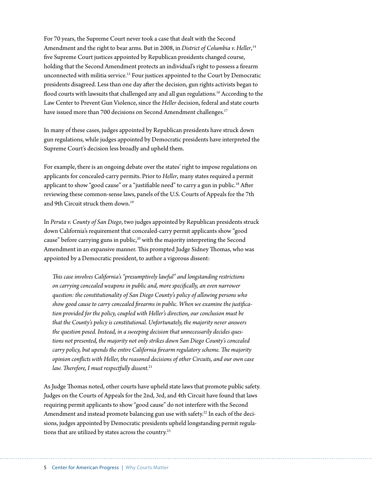For 70 years, the Supreme Court never took a case that dealt with the Second Amendment and the right to bear arms. But in 2008, in *District of Columbia v. Heller*, 14 five Supreme Court justices appointed by Republican presidents changed course, holding that the Second Amendment protects an individual's right to possess a firearm unconnected with militia service.15 Four justices appointed to the Court by Democratic presidents disagreed. Less than one day after the decision, gun rights activists began to flood courts with lawsuits that challenged any and all gun regulations.<sup>16</sup> According to the Law Center to Prevent Gun Violence, since the *Heller* decision, federal and state courts have issued more than 700 decisions on Second Amendment challenges.<sup>17</sup>

In many of these cases, judges appointed by Republican presidents have struck down gun regulations, while judges appointed by Democratic presidents have interpreted the Supreme Court's decision less broadly and upheld them.

For example, there is an ongoing debate over the states' right to impose regulations on applicants for concealed-carry permits. Prior to *Heller*, many states required a permit applicant to show "good cause" or a "justifiable need" to carry a gun in public.<sup>18</sup> After reviewing these common-sense laws, panels of the U.S. Courts of Appeals for the 7th and 9th Circuit struck them down.<sup>19</sup>

In *Peruta v. County of San Diego*, two judges appointed by Republican presidents struck down California's requirement that concealed-carry permit applicants show "good cause" before carrying guns in public, $20$  with the majority interpreting the Second Amendment in an expansive manner. This prompted Judge Sidney Thomas, who was appointed by a Democratic president, to author a vigorous dissent:

*This case involves California's "presumptively lawful" and longstanding restrictions on carrying concealed weapons in public and, more specifically, an even narrower question: the constitutionality of San Diego County's policy of allowing persons who show good cause to carry concealed firearms in public. When we examine the justification provided for the policy, coupled with Heller's direction, our conclusion must be that the County's policy is constitutional. Unfortunately, the majority never answers the question posed. Instead, in a sweeping decision that unnecessarily decides questions not presented, the majority not only strikes down San Diego County's concealed carry policy, but upends the entire California firearm regulatory scheme. The majority opinion conflicts with Heller, the reasoned decisions of other Circuits, and our own case law. Therefore, I must respectfully dissent.*<sup>21</sup>

As Judge Thomas noted, other courts have upheld state laws that promote public safety. Judges on the Courts of Appeals for the 2nd, 3rd, and 4th Circuit have found that laws requiring permit applicants to show "good cause" do not interfere with the Second Amendment and instead promote balancing gun use with safety.<sup>22</sup> In each of the decisions, judges appointed by Democratic presidents upheld longstanding permit regulations that are utilized by states across the country.<sup>23</sup>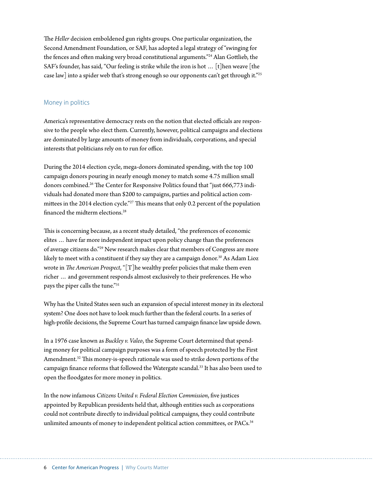The *Heller* decision emboldened gun rights groups. One particular organization, the Second Amendment Foundation, or SAF, has adopted a legal strategy of "swinging for the fences and often making very broad constitutional arguments."24 Alan Gottlieb, the SAF's founder, has said, "Our feeling is strike while the iron is hot … [t]hen weave [the case law] into a spider web that's strong enough so our opponents can't get through it."25

#### Money in politics

America's representative democracy rests on the notion that elected officials are responsive to the people who elect them. Currently, however, political campaigns and elections are dominated by large amounts of money from individuals, corporations, and special interests that politicians rely on to run for office.

During the 2014 election cycle, mega-donors dominated spending, with the top 100 campaign donors pouring in nearly enough money to match some 4.75 million small donors combined.26 The Center for Responsive Politics found that "just 666,773 individuals had donated more than \$200 to campaigns, parties and political action committees in the 2014 election cycle."<sup>27</sup> This means that only 0.2 percent of the population financed the midterm elections.28

This is concerning because, as a recent study detailed, "the preferences of economic elites … have far more independent impact upon policy change than the preferences of average citizens do."29 New research makes clear that members of Congress are more likely to meet with a constituent if they say they are a campaign donor.<sup>30</sup> As Adam Lioz wrote in *The American Prospect*, "[T]he wealthy prefer policies that make them even richer … and government responds almost exclusively to their preferences. He who pays the piper calls the tune."31

Why has the United States seen such an expansion of special interest money in its electoral system? One does not have to look much further than the federal courts. In a series of high-profile decisions, the Supreme Court has turned campaign finance law upside down.

In a 1976 case known as *Buckley v. Valeo*, the Supreme Court determined that spending money for political campaign purposes was a form of speech protected by the First Amendment.<sup>32</sup> This money-is-speech rationale was used to strike down portions of the campaign finance reforms that followed the Watergate scandal.33 It has also been used to open the floodgates for more money in politics.

In the now infamous *Citizens United v. Federal Election Commission*, five justices appointed by Republican presidents held that, although entities such as corporations could not contribute directly to individual political campaigns, they could contribute unlimited amounts of money to independent political action committees, or PACs.<sup>34</sup>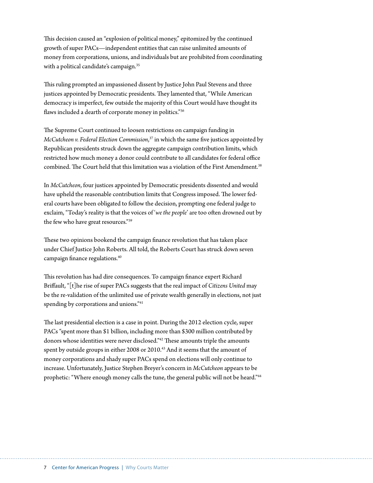This decision caused an "explosion of political money," epitomized by the continued growth of super PACs—independent entities that can raise unlimited amounts of money from corporations, unions, and individuals but are prohibited from coordinating with a political candidate's campaign.<sup>35</sup>

This ruling prompted an impassioned dissent by Justice John Paul Stevens and three justices appointed by Democratic presidents. They lamented that, "While American democracy is imperfect, few outside the majority of this Court would have thought its flaws included a dearth of corporate money in politics."36

The Supreme Court continued to loosen restrictions on campaign funding in *McCutcheon v. Federal Election Commission*, 37 in which the same five justices appointed by Republican presidents struck down the aggregate campaign contribution limits, which restricted how much money a donor could contribute to all candidates for federal office combined. The Court held that this limitation was a violation of the First Amendment.<sup>38</sup>

In *McCutcheon*, four justices appointed by Democratic presidents dissented and would have upheld the reasonable contribution limits that Congress imposed. The lower federal courts have been obligated to follow the decision, prompting one federal judge to exclaim, "Today's reality is that the voices of '*we the people*' are too often drowned out by the few who have great resources."39

These two opinions bookend the campaign finance revolution that has taken place under Chief Justice John Roberts. All told, the Roberts Court has struck down seven campaign finance regulations.40

This revolution has had dire consequences. To campaign finance expert Richard Briffault, "[t]he rise of super PACs suggests that the real impact of *Citizens United* may be the re-validation of the unlimited use of private wealth generally in elections, not just spending by corporations and unions."<sup>41</sup>

The last presidential election is a case in point. During the 2012 election cycle, super PACs "spent more than \$1 billion, including more than \$300 million contributed by donors whose identities were never disclosed."42 These amounts triple the amounts spent by outside groups in either 2008 or 2010.<sup>43</sup> And it seems that the amount of money corporations and shady super PACs spend on elections will only continue to increase. Unfortunately, Justice Stephen Breyer's concern in *McCutcheon* appears to be prophetic: "Where enough money calls the tune, the general public will not be heard."44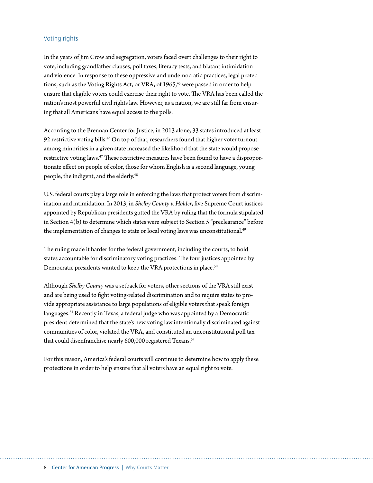#### Voting rights

In the years of Jim Crow and segregation, voters faced overt challenges to their right to vote, including grandfather clauses, poll taxes, literacy tests, and blatant intimidation and violence. In response to these oppressive and undemocratic practices, legal protections, such as the Voting Rights Act, or VRA, of 1965,<sup>45</sup> were passed in order to help ensure that eligible voters could exercise their right to vote. The VRA has been called the nation's most powerful civil rights law. However, as a nation, we are still far from ensuring that all Americans have equal access to the polls.

According to the Brennan Center for Justice, in 2013 alone, 33 states introduced at least 92 restrictive voting bills.<sup>46</sup> On top of that, researchers found that higher voter turnout among minorities in a given state increased the likelihood that the state would propose restrictive voting laws.<sup>47</sup> These restrictive measures have been found to have a disproportionate effect on people of color, those for whom English is a second language, young people, the indigent, and the elderly.<sup>48</sup>

U.S. federal courts play a large role in enforcing the laws that protect voters from discrimination and intimidation. In 2013, in *Shelby County v. Holder*, five Supreme Court justices appointed by Republican presidents gutted the VRA by ruling that the formula stipulated in Section 4(b) to determine which states were subject to Section 5 "preclearance" before the implementation of changes to state or local voting laws was unconstitutional.<sup>49</sup>

The ruling made it harder for the federal government, including the courts, to hold states accountable for discriminatory voting practices. The four justices appointed by Democratic presidents wanted to keep the VRA protections in place.<sup>50</sup>

Although *Shelby County* was a setback for voters, other sections of the VRA still exist and are being used to fight voting-related discrimination and to require states to provide appropriate assistance to large populations of eligible voters that speak foreign languages.<sup>51</sup> Recently in Texas, a federal judge who was appointed by a Democratic president determined that the state's new voting law intentionally discriminated against communities of color, violated the VRA, and constituted an unconstitutional poll tax that could disenfranchise nearly 600,000 registered Texans.<sup>52</sup>

For this reason, America's federal courts will continue to determine how to apply these protections in order to help ensure that all voters have an equal right to vote.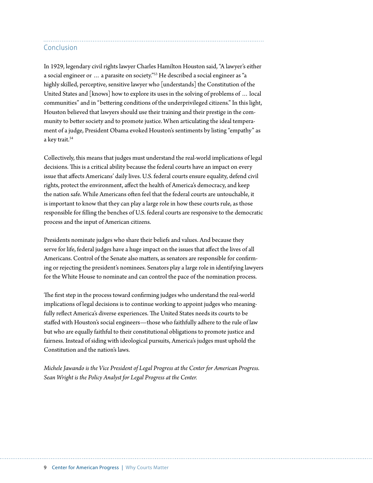# Conclusion

In 1929, legendary civil rights lawyer Charles Hamilton Houston said, "A lawyer's either a social engineer or … a parasite on society."53 He described a social engineer as "a highly skilled, perceptive, sensitive lawyer who [understands] the Constitution of the United States and [knows] how to explore its uses in the solving of problems of … local communities" and in "bettering conditions of the underprivileged citizens." In this light, Houston believed that lawyers should use their training and their prestige in the community to better society and to promote justice. When articulating the ideal temperament of a judge, President Obama evoked Houston's sentiments by listing "empathy" as a key trait.<sup>54</sup>

Collectively, this means that judges must understand the real-world implications of legal decisions. This is a critical ability because the federal courts have an impact on every issue that affects Americans' daily lives. U.S. federal courts ensure equality, defend civil rights, protect the environment, affect the health of America's democracy, and keep the nation safe. While Americans often feel that the federal courts are untouchable, it is important to know that they can play a large role in how these courts rule, as those responsible for filling the benches of U.S. federal courts are responsive to the democratic process and the input of American citizens.

Presidents nominate judges who share their beliefs and values. And because they serve for life, federal judges have a huge impact on the issues that affect the lives of all Americans. Control of the Senate also matters, as senators are responsible for confirming or rejecting the president's nominees. Senators play a large role in identifying lawyers for the White House to nominate and can control the pace of the nomination process.

The first step in the process toward confirming judges who understand the real-world implications of legal decisions is to continue working to appoint judges who meaningfully reflect America's diverse experiences. The United States needs its courts to be staffed with Houston's social engineers—those who faithfully adhere to the rule of law but who are equally faithful to their constitutional obligations to promote justice and fairness. Instead of siding with ideological pursuits, America's judges must uphold the Constitution and the nation's laws.

*Michele Jawando is the Vice President of Legal Progress at the Center for American Progress. Sean Wright is the Policy Analyst for Legal Progress at the Center.*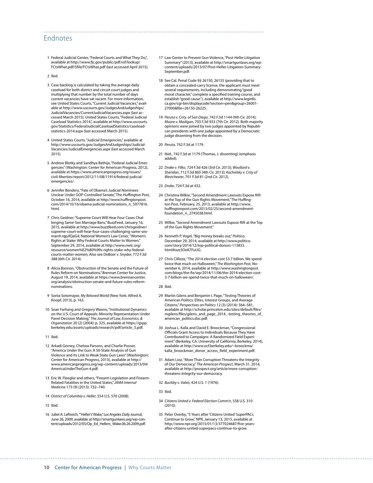### Endnotes

1 Federal Judicial Center, "Federal Courts and What They Do,", available at [http://www.fjc.gov/public/pdf.nsf/lookup/](http://www.fjc.gov/public/pdf.nsf/lookup/FCtsWhat.pdf/$file/FCtsWhat.pdf) [FCtsWhat.pdf/\\$file/FCtsWhat.pdf](http://www.fjc.gov/public/pdf.nsf/lookup/FCtsWhat.pdf/$file/FCtsWhat.pdf) (last accessed April 2015).

2 Ibid.

- 3 Case backlog is calculated by taking the average daily caseload for both district and circuit court judges and multiplying that number by the total number of days current vacancies have sat vacant. For more information, see United States Courts, "Current Judicial Vacancies," available at [http://www.uscourts.gov/JudgesAndJudgeships/](http://www.uscourts.gov/JudgesAndJudgeships/JudicialVacancies/CurrentJudicialVacancies.aspx) [JudicialVacancies/CurrentJudicialVacancies.aspx](http://www.uscourts.gov/JudgesAndJudgeships/JudicialVacancies/CurrentJudicialVacancies.aspx) (last accessed March 2015); United States Courts, "Federal Judicial Caseload Statistics 2014,", available at [http://www.uscourts.](http://www.uscourts.gov/Statistics/FederalJudicialCaseloadStatistics/caseload-statistics-2014.aspx) [gov/Statistics/FederalJudicialCaseloadStatistics/caseload](http://www.uscourts.gov/Statistics/FederalJudicialCaseloadStatistics/caseload-statistics-2014.aspx)[statistics-2014.aspx](http://www.uscourts.gov/Statistics/FederalJudicialCaseloadStatistics/caseload-statistics-2014.aspx) (last accessed March 2015).
- 4 United States Courts, "Judicial Emergencies," available at http://www.uscourts.gov/JudgesAndJudgeships/Judicial-Vacancies/JudicialEmergencies.aspx (last accessed March 2015).
- 5 Andrew Blotky and Sandhya Bathija, "Federal Judicial Emergencies" (Washington: Center for American Progress, 2012), available at https://www.americanprogress.org/issues/ civil-liberties/report/2012/11/08/11914/federal-judicialemergencies/.
- 6 Jennifer Bendery, "Fate of Obama's Judicial Nominees Unclear Under GOP-Controlled Senate," The Huffington Post, October 16, 2014, available at http://www.huffingtonpost. com/2014/10/16/obama-judicial-nominations\_n\_5977816. html.
- 7 Chris Geidner, "Supreme Court Will Hear Four Cases Challenging Same-Sex Marriage Bans," BuzzFeed, January 16, 2015, available at http://www.buzzfeed.com/chrisgeidner/ supreme-court-will-hear-four-cases-challenging-same-sexmarr#.rqpJlQaG4; National Women's Law Cener, "Women's Rights at Stake: Why Federal Courts Matter to Women," September 29, 2014, available at http://www.nwlc.org/ resource/women%E2%80%99s-rights-stake-why-federalcourts-matter-women; Also see DeBoer v. Snyder, 772 F.3d 388 (6th Cir. 2014).
- 8 Alicia Bannon, "Obstruction of the Senate and the Future of Rules Reform on Nominations," Brennan Center for Justice, August 19, 2014, available at https://www.brennancenter. org/analysis/obstruction-senate-and-future-rules-reformnominations.
- 9 Sonia Sotomayor, *My Beloved World* (New York: Alfred A. Knopf, 2013), p. 163.
- 10 Sean Farhang and Gregory Wawro, "Institutional Dynamics on the U.S. Court of Appeals: Minority Representation Under Panel Decision Making," *The Journal of Law, Economics, & Organization* 20 (2) (2004): p. 325, available at https://gspp. berkeley.edu/assets/uploads/research/pdf/article\_5.pdf.
- 11 Ibid.
- 12 Arkadi Gerney, Chelsea Parsons, and Charlie Posner, "America Under the Gun: A 50-State Analysis of Gun Violence and Its Link to Weak State Gun Laws" (Washington: Center for American Progress, 2013), available at http:// www.americanprogress.org/wp-content/uploads/2013/04/ AmericaUnderTheGun-4.pdf.
- 13 Eric W. Fleegler and others, "Firearm Legislation and Firearm-Related Fatalities in the United States," *JAMA Internal Medicine* 173 (9) (2013): 732–740.
- 14 *District of Columbia v. Heller*, 554 U.S. 570 (2008).
- 15 Ibid.
- 16 Juliet A. Leftwich, "'Heller's' Wake," *Los Angeles Daily Journal*, June 26, 2009, available at http://smartgunlaws.org/wp-content/uploads/2012/05/Op\_Ed\_Hellers\_Wake.06.26.2009.pdf.
- 17 Law Center to Prevent Gun Violence, "Post-*Heller* Litigation Summary" (2013), available at http://smartgunlaws.org/wpcontent/uploads/2013/07/Post-Heller-Litigation-Summary-September.pdf.
- 18 See Cal. Penal Code §§ 26150, 26155 (providing that to obtain a concealed-carry license, the applicant must meet several requirements, including demonstrating "good moral character," complete a specified training course, and establish "good cause."), available at http://www.leginfo. ca.gov/cgi-bin/displaycode?section=pen&group=26001- 27000&file=26150-26225.
- 19 *Peruta v. Cnty. of San Diego*, 742 F.3d 1144 (9th Cir. 2014); *Moore v. Madigan*, 703 F.3d 933 (7th Cir. 2012). Both majority opinions were joined by two judges appointed by Republican presidents with one judge appointed by a Democratic judge dissenting from the decision.
- 20 *Peruta*, 742 F.3d at 1179.

- 21 Ibid., 742 F.3d at 1179 (Thomas, J. dissenting) (emphasis added).
- 22 *Drake v. Filko*, 724 F.3d 426 (3rd Cir. 2013); *Woollard v. Sheridan*, 712 F.3d 865 (4th Cir. 2013); *Kachalsky v. Cnty of Westchester*, 701 F.3d 81 (2nd Cir. 2012).
- 23 *Drake*, 724 F.3d at 432.
- 24 Christina Wilkie, "Second Amendment Lawsuits Expose Rift at the Top of the Gun Rights Movement," The Huffington Post, February, 25, 2013, available at http://www. huffingtonpost.com/2013/02/25/second-amendmentfoundation\_n\_2745038.html.
- 25 Wilkie, "Second Amendment Lawsuits Expose Rift at the Top of the Gun Rights Movement."
- 26 Kenneth P. Vogel, "Big money breaks out," *Politico*, December 29, 2014, available at http://www.politico. com/story/2014/12/top-political-donors-113833. html#ixzz3OeK7FuUG.
- 27 Chris Cillizza, "The 2014 election cost \$3.7 billion. We spend twice that much on Halloween," *The Washington Post*, November 6, 2014, available at http://www.washingtonpost. com/blogs/the-fix/wp/2014/11/06/the-2014-election-cost-3-7-billion-we-spend-twice-that-much-on-halloween/.
- 28 Ibid.
- 29 Martin Gilens and Benjamin I. Page, "Testing Theories of American Politics: Elites, Interest Groups, and Average Citizens," *Perspectives on Politics* 12 (3) (2014): 564–581, available at http://scholar.princeton.edu/sites/default/files/ mgilens/files/gilens\_and\_page\_2014\_-testing\_theories\_of\_ american\_politics.doc.pdf.
- 30 Joshua L. Kalla and David E. Broockman, "Congressional Officials Grant Access to Individuals Because They Have Contributed to Campaigns: A Randomized Field Experiment" (Berkeley, CA: University of California, Berkeley, 2014), available at http://www.ocf.berkeley.edu/~broockma/ kalla\_broockman\_donor\_access\_field\_experiment.pdf.
- 31 Adam Lioz, "More Than Corruption Threatens the Integrity of Our Democracy," *The American Prospect*, March 31, 2014, available at http://prospect.org/article/more-corruptionthreatens-integrity-our-democracy.
- 32 *Buckley v. Valeo*, 424 U.S. 1 (1976).
- 33 Ibid.
- 34 *Citizens United v. Federal Election Comm'n*, 558 U.S. 310 (2010).
- 35 Peter Overby, "5 Years after 'Citizens United' SuperPACs Continue to Grow," NPR, January 13, 2015, available at http://www.npr.org/2015/01/13/377024687/five-yearsafter-citizens-united-superpacs-continue-to-grow.